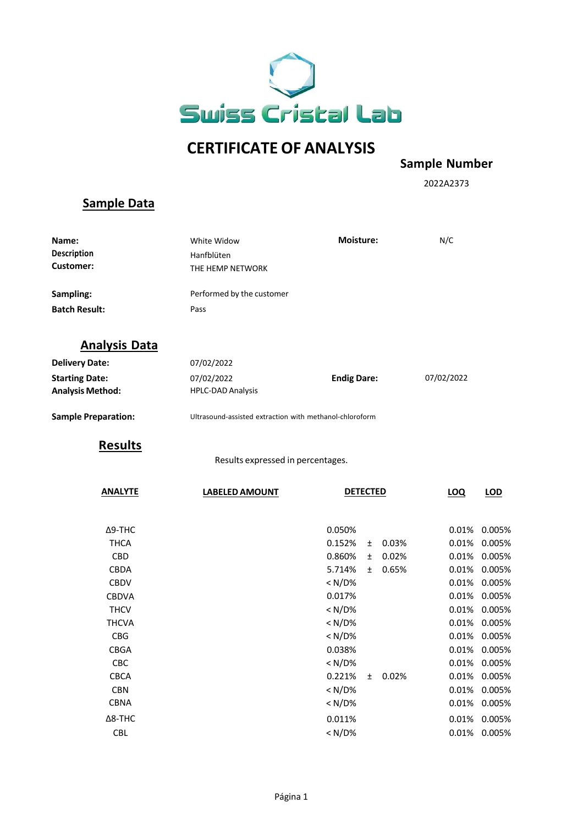

## **CERTIFICATE OF ANALYSIS**

**Sample Number**

2022A2373

## **Sample Data**

| Name:<br>Description<br><b>Customer:</b>         | <b>Moisture:</b><br>White Widow<br>Hanfblüten<br>THE HEMP NETWORK |                 | N/C                |       |            |            |  |
|--------------------------------------------------|-------------------------------------------------------------------|-----------------|--------------------|-------|------------|------------|--|
| Sampling:                                        | Performed by the customer                                         |                 |                    |       |            |            |  |
| <b>Batch Result:</b>                             | Pass                                                              |                 |                    |       |            |            |  |
| <b>Analysis Data</b>                             |                                                                   |                 |                    |       |            |            |  |
| <b>Delivery Date:</b>                            | 07/02/2022                                                        |                 |                    |       |            |            |  |
| <b>Starting Date:</b><br><b>Analysis Method:</b> | 07/02/2022<br><b>HPLC-DAD Analysis</b>                            |                 | <b>Endig Dare:</b> |       |            | 07/02/2022 |  |
| <b>Sample Preparation:</b>                       | Ultrasound-assisted extraction with methanol-chloroform           |                 |                    |       |            |            |  |
| <b>Results</b>                                   |                                                                   |                 |                    |       |            |            |  |
|                                                  | Results expressed in percentages.                                 |                 |                    |       |            |            |  |
| <b>ANALYTE</b>                                   | <b>LABELED AMOUNT</b>                                             | <b>DETECTED</b> |                    |       | <b>LOQ</b> | <u>LOD</u> |  |
| $\Delta$ 9-THC                                   |                                                                   | 0.050%          |                    |       | 0.01%      | 0.005%     |  |
| <b>THCA</b>                                      |                                                                   | 0.152%          | ±.                 | 0.03% | 0.01%      | 0.005%     |  |
| <b>CBD</b>                                       |                                                                   | 0.860%          | $\pm$              | 0.02% | 0.01%      | 0.005%     |  |
| CBDA                                             |                                                                   | 5.714%          | $\pm$              | 0.65% | 0.01%      | 0.005%     |  |
| <b>CBDV</b>                                      |                                                                   | < N/D%          |                    |       | 0.01%      | 0.005%     |  |
| <b>CBDVA</b>                                     |                                                                   | 0.017%          |                    |       | 0.01%      | 0.005%     |  |
| <b>THCV</b>                                      |                                                                   | < N/D%          |                    |       | 0.01%      | 0.005%     |  |
| <b>THCVA</b>                                     |                                                                   | $<$ N/D%        |                    |       | 0.01%      | 0.005%     |  |
| <b>CBG</b>                                       |                                                                   | < N/D%          |                    |       | 0.01%      | 0.005%     |  |
| <b>CBGA</b>                                      |                                                                   | 0.038%          |                    |       | 0.01%      | 0.005%     |  |
| CBC                                              |                                                                   | < N/D%          |                    |       | 0.01%      | 0.005%     |  |
| <b>CBCA</b>                                      |                                                                   | 0.221%          | ±.                 | 0.02% | 0.01%      | 0.005%     |  |
| <b>CBN</b>                                       |                                                                   | $<$ N/D%        |                    |       | 0.01%      | 0.005%     |  |
| <b>CBNA</b>                                      |                                                                   | $<$ N/D%        |                    |       | 0.01%      | 0.005%     |  |
| $\Delta$ 8-THC                                   |                                                                   | 0.011%          |                    |       | 0.01%      | 0.005%     |  |
| <b>CBL</b>                                       |                                                                   | < N/D%          |                    |       | $0.01\%$   | 0.005%     |  |